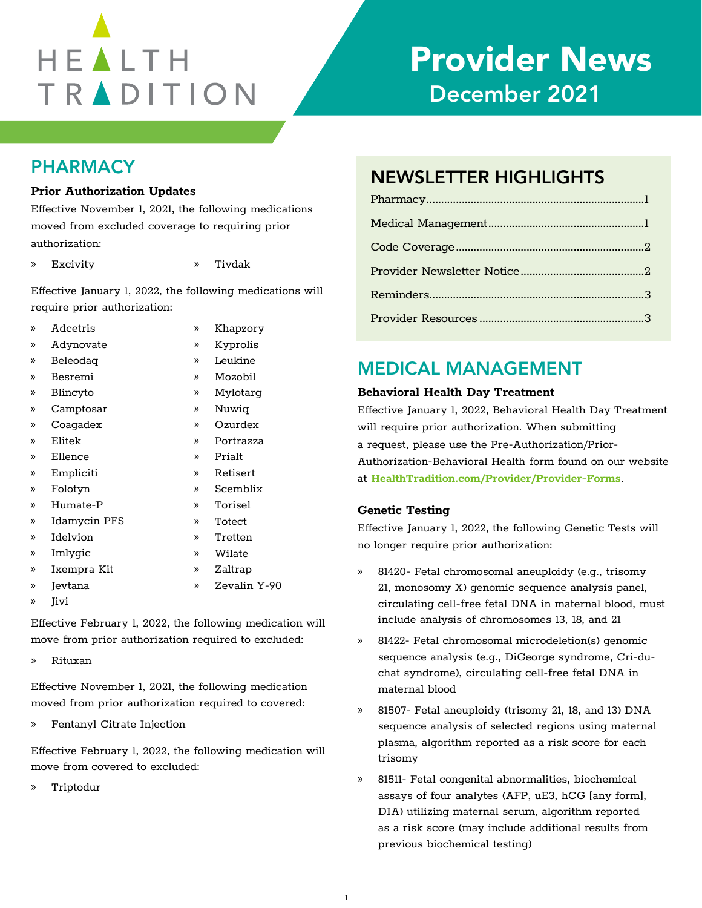# HEALTH TRADITION

## Provider News December 2021

## PHARMACY

#### **Prior Authorization Updates**

| $\mathcal{V}$ | Adcetris     | $\mathcal{D}$ | Khapzory     |
|---------------|--------------|---------------|--------------|
| $\mathcal{P}$ | Adynovate    | »             | Kyprolis     |
| »             | Beleodag     | »             | Leukine      |
| »             | Besremi      | »             | Mozobil      |
| $\mathcal{P}$ | Blincyto     | »             | Mylotarg     |
| »             | Camptosar    | »             | Nuwig        |
| $\mathcal{V}$ | Coagadex     | $\mathcal{V}$ | Ozurdex      |
| »             | Elitek       | y)            | Portrazza    |
| »             | Ellence      | y)            | Prialt       |
| $\mathcal{P}$ | Empliciti    | $\mathcal{V}$ | Retisert     |
| »             | Folotyn      | »             | Scemblix     |
| »             | Humate-P     | »             | Torisel      |
| »             | Idamycin PFS | »             | Totect       |
| »             | Idelvion     | y)            | Tretten      |
| »             | Imlygic      | y)            | Wilate       |
| »             | Ixempra Kit  | »             | Zaltrap      |
| $\mathcal{P}$ | Jevtana      | »             | Zevalin Y-90 |
| »             | Iivi         |               |              |

Effective February 1, 2022, the following medication will move from prior authorization required to excluded:

» Rituxan

Effective November 1, 2021, the following medication moved from prior authorization required to covered:

» Fentanyl Citrate Injection

Effective February 1, 2022, the following medication will move from covered to excluded:

» Triptodur

## NEWSLETTER HIGHLIGHTS

| I HUI Audionization Opuates                               |  |  |  |
|-----------------------------------------------------------|--|--|--|
| Effective November 1, 2021, the following medications     |  |  |  |
| moved from excluded coverage to requiring prior           |  |  |  |
| authorization:                                            |  |  |  |
| » Excivity<br>Tivdak<br>$\mathcal{P}$                     |  |  |  |
| Effective January 1, 2022, the following medications will |  |  |  |
| require prior authorization:                              |  |  |  |
| » Adcetris<br>Khapzory                                    |  |  |  |

## MEDICAL MANAGEMENT

#### **Behavioral Health Day Treatment**

Effective January 1, 2022, Behavioral Health Day Treatment will require prior authorization. When submitting a request, please use the Pre-Authorization/Prior-Authorization-Behavioral Health form found on our website at **[HealthTradition.com/Provider/Provider-Forms](https://HealthTradition.com/Provider/Provider-Forms)**.

#### **Genetic Testing**

Effective January 1, 2022, the following Genetic Tests will no longer require prior authorization:

- » 81420- Fetal chromosomal aneuploidy (e.g., trisomy 21, monosomy X) genomic sequence analysis panel, circulating cell-free fetal DNA in maternal blood, must include analysis of chromosomes 13, 18, and 21
- » 81422- Fetal chromosomal microdeletion(s) genomic sequence analysis (e.g., DiGeorge syndrome, Cri-duchat syndrome), circulating cell-free fetal DNA in maternal blood
- » 81507- Fetal aneuploidy (trisomy 21, 18, and 13) DNA sequence analysis of selected regions using maternal plasma, algorithm reported as a risk score for each trisomy
- » 81511- Fetal congenital abnormalities, biochemical assays of four analytes (AFP, uE3, hCG [any form], DIA) utilizing maternal serum, algorithm reported as a risk score (may include additional results from previous biochemical testing)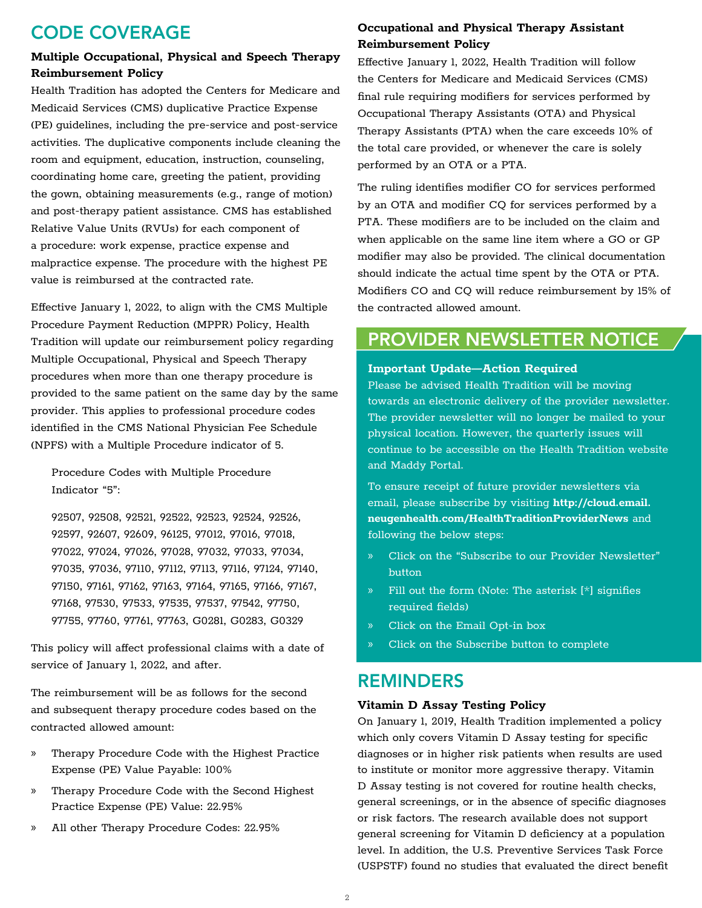## CODE COVERAGE

#### **Multiple Occupational, Physical and Speech Therapy Reimbursement Policy**

Health Tradition has adopted the Centers for Medicare and Medicaid Services (CMS) duplicative Practice Expense (PE) guidelines, including the pre-service and post-service activities. The duplicative components include cleaning the room and equipment, education, instruction, counseling, coordinating home care, greeting the patient, providing the gown, obtaining measurements (e.g., range of motion) and post-therapy patient assistance. CMS has established Relative Value Units (RVUs) for each component of a procedure: work expense, practice expense and malpractice expense. The procedure with the highest PE value is reimbursed at the contracted rate.

Effective January 1, 2022, to align with the CMS Multiple Procedure Payment Reduction (MPPR) Policy, Health Tradition will update our reimbursement policy regarding Multiple Occupational, Physical and Speech Therapy procedures when more than one therapy procedure is provided to the same patient on the same day by the same provider. This applies to professional procedure codes identified in the CMS National Physician Fee Schedule (NPFS) with a Multiple Procedure indicator of 5.

Procedure Codes with Multiple Procedure Indicator "5":

92507, 92508, 92521, 92522, 92523, 92524, 92526, 92597, 92607, 92609, 96125, 97012, 97016, 97018, 97022, 97024, 97026, 97028, 97032, 97033, 97034, 97035, 97036, 97110, 97112, 97113, 97116, 97124, 97140, 97150, 97161, 97162, 97163, 97164, 97165, 97166, 97167, 97168, 97530, 97533, 97535, 97537, 97542, 97750, 97755, 97760, 97761, 97763, G0281, G0283, G0329

This policy will affect professional claims with a date of service of January 1, 2022, and after.

The reimbursement will be as follows for the second and subsequent therapy procedure codes based on the contracted allowed amount:

- » Therapy Procedure Code with the Highest Practice Expense (PE) Value Payable: 100%
- » Therapy Procedure Code with the Second Highest Practice Expense (PE) Value: 22.95%
- » All other Therapy Procedure Codes: 22.95%

## **Occupational and Physical Therapy Assistant Reimbursement Policy**

Effective January 1, 2022, Health Tradition will follow the Centers for Medicare and Medicaid Services (CMS) final rule requiring modifiers for services performed by Occupational Therapy Assistants (OTA) and Physical Therapy Assistants (PTA) when the care exceeds 10% of the total care provided, or whenever the care is solely performed by an OTA or a PTA.

The ruling identifies modifier CO for services performed by an OTA and modifier CQ for services performed by a PTA. These modifiers are to be included on the claim and when applicable on the same line item where a GO or GP modifier may also be provided. The clinical documentation should indicate the actual time spent by the OTA or PTA. Modifiers CO and CQ will reduce reimbursement by 15% of the contracted allowed amount.

## PROVIDER NEWSLETTER NOTICE

#### **Important Update—Action Required**

Please be advised Health Tradition will be moving towards an electronic delivery of the provider newsletter. The provider newsletter will no longer be mailed to your physical location. However, the quarterly issues will continue to be accessible on the Health Tradition website and Maddy Portal.

To ensure receipt of future provider newsletters via email, please subscribe by visiting **[http://cloud.email.](http://cloud.email.neugenhealth.com/HealthTraditionProviderNews) [neugenhealth.com/HealthTraditionProviderNews](http://cloud.email.neugenhealth.com/HealthTraditionProviderNews)** and following the below steps:

- » Click on the "Subscribe to our Provider Newsletter" button
- » Fill out the form (Note: The asterisk [\*] signifies required fields)
- » Click on the Email Opt-in box
- » Click on the Subscribe button to complete

## REMINDERS

#### **Vitamin D Assay Testing Policy**

On January 1, 2019, Health Tradition implemented a policy which only covers Vitamin D Assay testing for specific diagnoses or in higher risk patients when results are used to institute or monitor more aggressive therapy. Vitamin D Assay testing is not covered for routine health checks, general screenings, or in the absence of specific diagnoses or risk factors. The research available does not support general screening for Vitamin D deficiency at a population level. In addition, the U.S. Preventive Services Task Force (USPSTF) found no studies that evaluated the direct benefit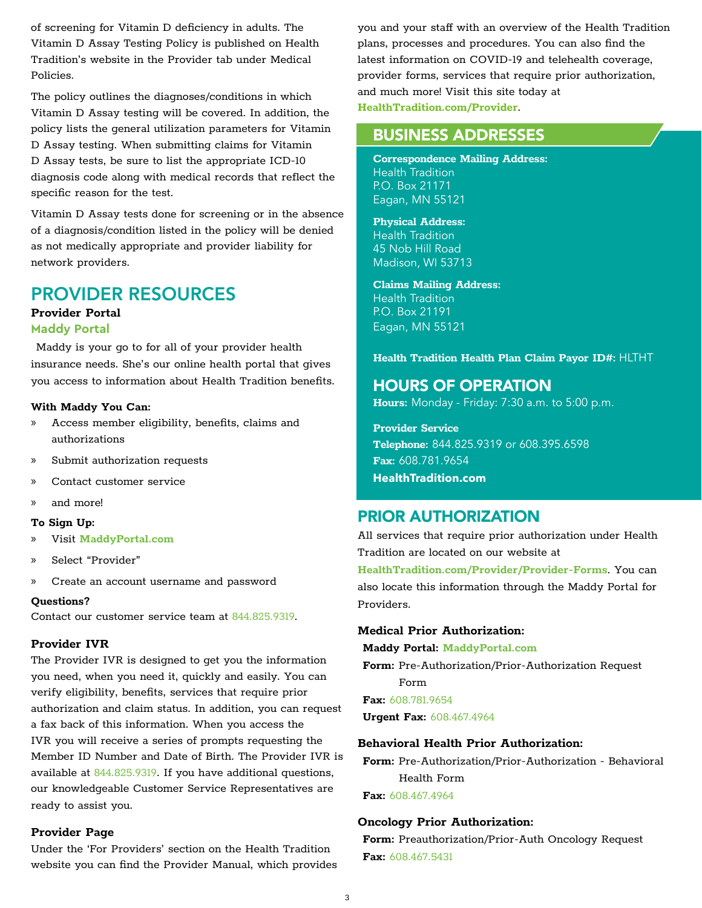of screening for Vitamin D deficiency in adults. The Vitamin D Assay Testing Policy is published on Health Tradition's website in the Provider tab under Medical Policies.

The policy outlines the diagnoses/conditions in which Vitamin D Assay testing will be covered. In addition, the policy lists the general utilization parameters for Vitamin D Assay testing. When submitting claims for Vitamin D Assay tests, be sure to list the appropriate ICD-10 diagnosis code along with medical records that reflect the specific reason for the test.

Vitamin D Assay tests done for screening or in the absence of a diagnosis/condition listed in the policy will be denied as not medically appropriate and provider liability for network providers.

## PROVIDER RESOURCES

#### **Provider Portal**

#### **Maddy Portal**

Maddy is your go to for all of your provider health insurance needs. She's our online health portal that gives you access to information about Health Tradition benefits.

#### **With Maddy You Can:**

- » Access member eligibility, benefits, claims and authorizations
- » Submit authorization requests
- » Contact customer service
- » and more!

#### **To Sign Up:**

- » Visit **[MaddyPortal.com](https://MaddyPortal.com)**
- » Select "Provider"
- » Create an account username and password

#### **Questions?**

Contact our customer service team at 844.825.9319.

#### **Provider IVR**

The Provider IVR is designed to get you the information you need, when you need it, quickly and easily. You can verify eligibility, benefits, services that require prior authorization and claim status. In addition, you can request a fax back of this information. When you access the IVR you will receive a series of prompts requesting the Member ID Number and Date of Birth. The Provider IVR is available at 844.825.9319. If you have additional questions, our knowledgeable Customer Service Representatives are ready to assist you.

#### **Provider Page**

Under the 'For Providers' section on the Health Tradition website you can find the Provider Manual, which provides you and your staff with an overview of the Health Tradition plans, processes and procedures. You can also find the latest information on COVID-19 and telehealth coverage, provider forms, services that require prior authorization, and much more! Visit this site today at **[HealthTradition.com/Provider](https://HealthTradition.com/Provider)**.

### BUSINESS ADDRESSES

**Correspondence Mailing Address:** Health Tradition P.O. Box 21171 Eagan, MN 55121

### **Physical Address:**

Health Tradition 45 Nob Hill Road Madison, WI 53713

**Claims Mailing Address:** Health Tradition P.O. Box 21191 Eagan, MN 55121

#### **Health Tradition Health Plan Claim Payor ID#:** HLTHT

#### HOURS OF OPERATION

**Hours:** Monday - Friday: 7:30 a.m. to 5:00 p.m.

**Provider Service Telephone:** 844.825.9319 or 608.395.6598 **Fax:** 608.781.9654 **[HealthTradition.com](https://HealthTradition.com)**

## PRIOR AUTHORIZATION

All services that require prior authorization under Health Tradition are located on our website at **[HealthTradition.com/Provider/Provider-Forms](https://HealthTradition.com/Providers/Preauthorization)**. You can also locate this information through the Maddy Portal for Providers.

#### **Medical Prior Authorization:**

**Maddy Portal: [MaddyPortal.com](https://MaddyPortal.com)**

**Form:** Pre-Authorization/Prior-Authorization Request Form

**Fax:** 608.781.9654 **Urgent Fax:** 608.467.4964

#### **Behavioral Health Prior Authorization:**

**Form:** Pre-Authorization/Prior-Authorization - Behavioral Health Form

**Fax:** 608.467.4964

#### **Oncology Prior Authorization:**

**Form:** Preauthorization/Prior-Auth Oncology Request **Fax:** 608.467.5431